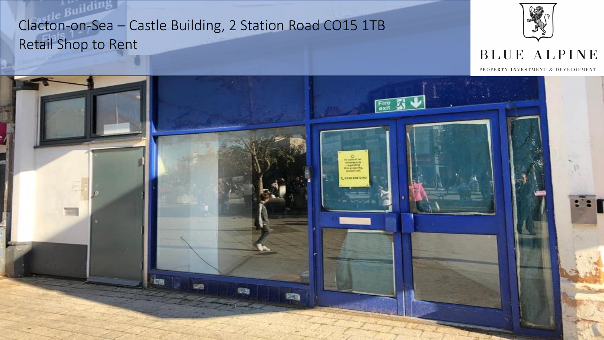

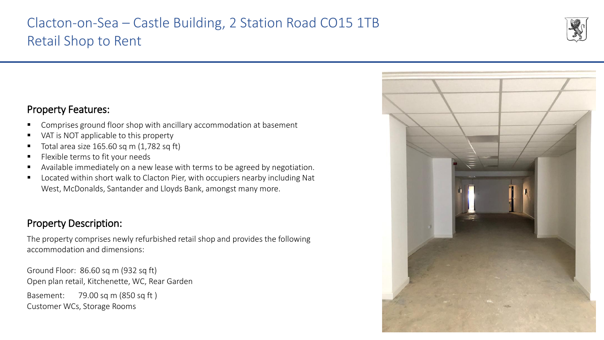

### Property Features:

- Comprises ground floor shop with ancillary accommodation at basement
- VAT is NOT applicable to this property
- Total area size  $165.60$  sq m  $(1,782$  sq ft)
- Flexible terms to fit your needs
- Available immediately on a new lease with terms to be agreed by negotiation.
- Located within short walk to Clacton Pier, with occupiers nearby including Nat West, McDonalds, Santander and Lloyds Bank, amongst many more.

### Property Description:

The property comprises newly refurbished retail shop and provides the following accommodation and dimensions:

Ground Floor: 86.60 sq m (932 sq ft) Open plan retail, Kitchenette, WC, Rear Garden Basement: 79.00 sq m (850 sq ft ) Customer WCs, Storage Rooms

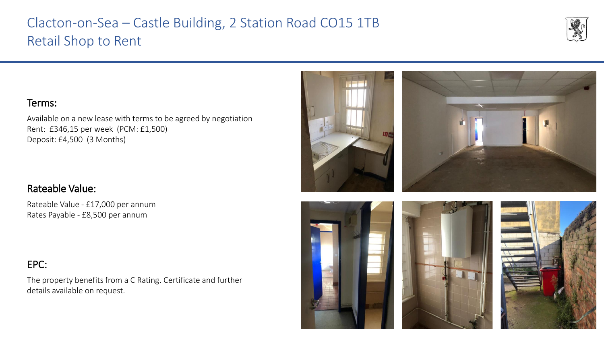### Terms:

Available on a new lease with terms to be agreed by negotiation Rent: £346,15 per week (PCM: £1,500) Deposit: £4,500 (3 Months)

#### Rateable Value:

Rateable Value - £17,000 per annum Rates Payable - £8,500 per annum

### EPC:

The property benefits from a C Rating. Certificate and further details available on request.











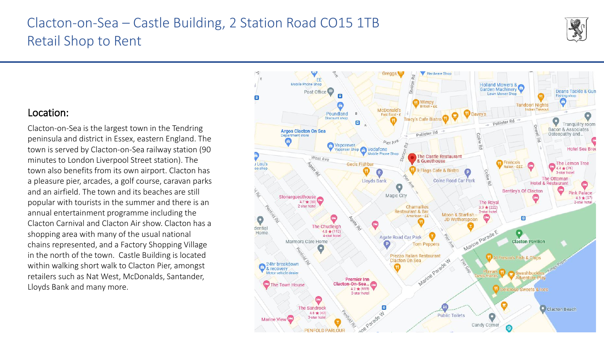#### Location:

Clacton-on-Sea is the largest town in the Tendring peninsula and district in Essex, eastern England. The town is served by Clacton-on-Sea railway station (90 minutes to London Liverpool Street station). The town also benefits from its own airport. Clacton has a pleasure pier, arcades, a golf course, caravan parks and an airfield. The town and its beaches are still popular with tourists in the summer and there is an annual entertainment programme including the Clacton Carnival and Clacton Air show. Clacton has a shopping area with many of the usual national chains represented, and a Factory Shopping Village in the north of the town. Castle Building is located within walking short walk to Clacton Pier, amongst retailers such as Nat West, McDonalds, Santander, Lloyds Bank and many more.